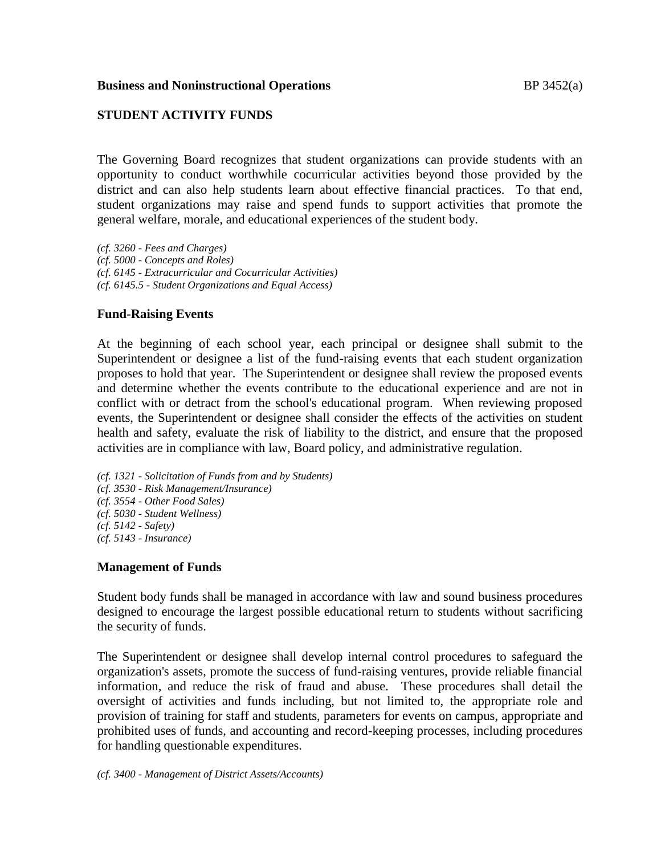#### **Business and Noninstructional Operations BP** 3452(a)

## **STUDENT ACTIVITY FUNDS**

The Governing Board recognizes that student organizations can provide students with an opportunity to conduct worthwhile cocurricular activities beyond those provided by the district and can also help students learn about effective financial practices. To that end, student organizations may raise and spend funds to support activities that promote the general welfare, morale, and educational experiences of the student body.

*(cf. 3260 - Fees and Charges) (cf. 5000 - Concepts and Roles) (cf. 6145 - Extracurricular and Cocurricular Activities) (cf. 6145.5 - Student Organizations and Equal Access)*

# **Fund-Raising Events**

At the beginning of each school year, each principal or designee shall submit to the Superintendent or designee a list of the fund-raising events that each student organization proposes to hold that year. The Superintendent or designee shall review the proposed events and determine whether the events contribute to the educational experience and are not in conflict with or detract from the school's educational program. When reviewing proposed events, the Superintendent or designee shall consider the effects of the activities on student health and safety, evaluate the risk of liability to the district, and ensure that the proposed activities are in compliance with law, Board policy, and administrative regulation.

*(cf. 1321 - Solicitation of Funds from and by Students) (cf. 3530 - Risk Management/Insurance) (cf. 3554 - Other Food Sales) (cf. 5030 - Student Wellness) (cf. 5142 - Safety) (cf. 5143 - Insurance)*

### **Management of Funds**

Student body funds shall be managed in accordance with law and sound business procedures designed to encourage the largest possible educational return to students without sacrificing the security of funds.

The Superintendent or designee shall develop internal control procedures to safeguard the organization's assets, promote the success of fund-raising ventures, provide reliable financial information, and reduce the risk of fraud and abuse. These procedures shall detail the oversight of activities and funds including, but not limited to, the appropriate role and provision of training for staff and students, parameters for events on campus, appropriate and prohibited uses of funds, and accounting and record-keeping processes, including procedures for handling questionable expenditures.

*(cf. 3400 - Management of District Assets/Accounts)*